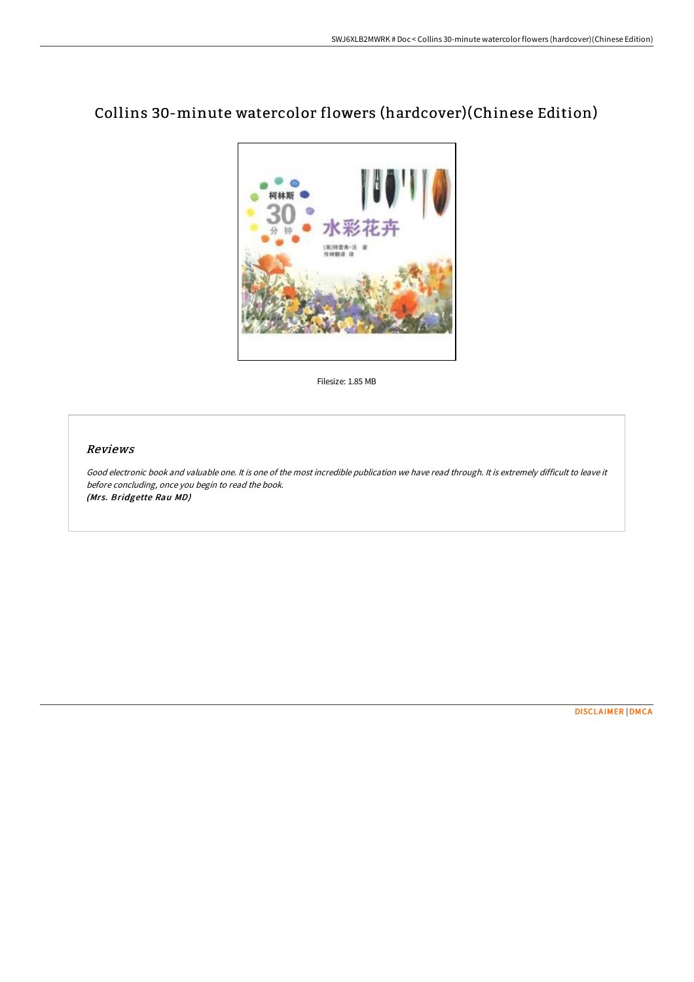

## Collins 30-minute watercolor flowers (hardcover)(Chinese Edition)

Filesize: 1.85 MB

## Reviews

Good electronic book and valuable one. It is one of the most incredible publication we have read through. It is extremely difficult to leave it before concluding, once you begin to read the book. (Mrs. Bridgette Rau MD)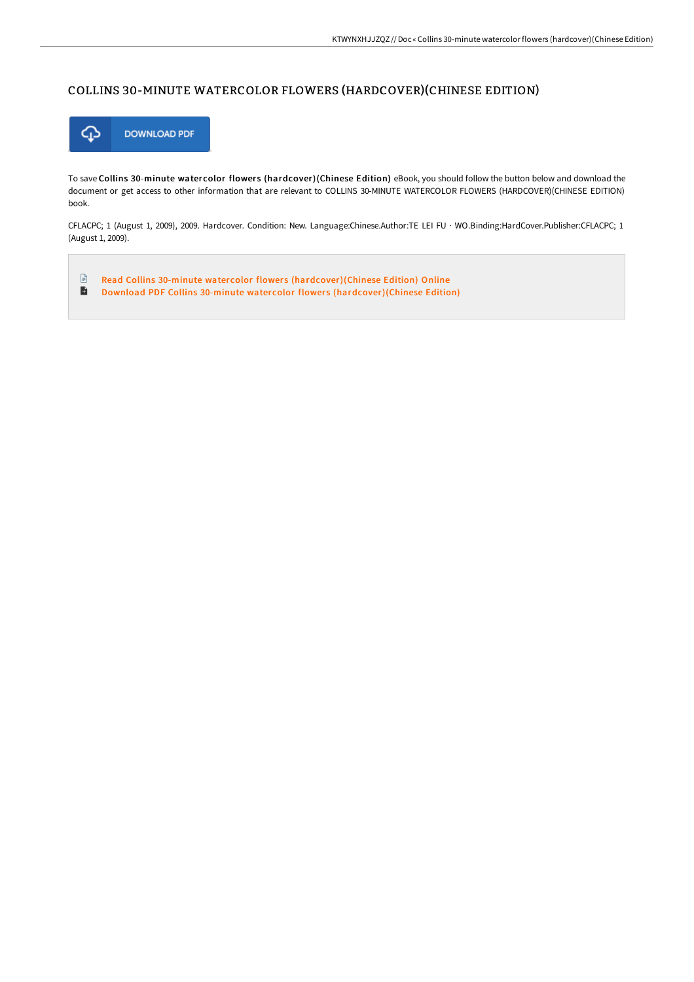## COLLINS 30-MINUTE WATERCOLOR FLOWERS (HARDCOVER)(CHINESE EDITION)



To save Collins 30-minute watercolor flowers (hardcover)(Chinese Edition) eBook, you should follow the button below and download the document or get access to other information that are relevant to COLLINS 30-MINUTE WATERCOLOR FLOWERS (HARDCOVER)(CHINESE EDITION) book.

CFLACPC; 1 (August 1, 2009), 2009. Hardcover. Condition: New. Language:Chinese.Author:TE LEI FU · WO.Binding:HardCover.Publisher:CFLACPC; 1 (August 1, 2009).